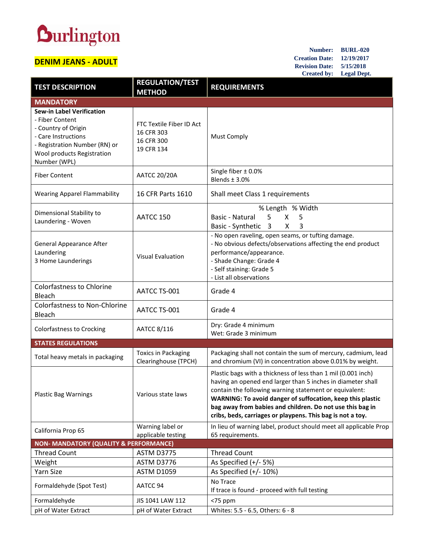## **Durlington**

## **DENIM JEANS - ADULT**

**Number: BURL-020 Creation Date: 12/19/2017 Revision Date: 5/15/2018 Created by: Legal Dept.**

| <b>TEST DESCRIPTION</b>                                                                                                                                                          | <b>REGULATION/TEST</b><br><b>METHOD</b>                            | <b>REQUIREMENTS</b>                                                                                                                                                                                                                                                                                                                                                             |
|----------------------------------------------------------------------------------------------------------------------------------------------------------------------------------|--------------------------------------------------------------------|---------------------------------------------------------------------------------------------------------------------------------------------------------------------------------------------------------------------------------------------------------------------------------------------------------------------------------------------------------------------------------|
| <b>MANDATORY</b>                                                                                                                                                                 |                                                                    |                                                                                                                                                                                                                                                                                                                                                                                 |
| <b>Sew-in Label Verification</b><br>- Fiber Content<br>- Country of Origin<br>- Care Instructions<br>- Registration Number (RN) or<br>Wool products Registration<br>Number (WPL) | FTC Textile Fiber ID Act<br>16 CFR 303<br>16 CFR 300<br>19 CFR 134 | <b>Must Comply</b>                                                                                                                                                                                                                                                                                                                                                              |
| <b>Fiber Content</b>                                                                                                                                                             | <b>AATCC 20/20A</b>                                                | Single fiber $\pm$ 0.0%<br>Blends $±$ 3.0%                                                                                                                                                                                                                                                                                                                                      |
| <b>Wearing Apparel Flammability</b>                                                                                                                                              | 16 CFR Parts 1610                                                  | Shall meet Class 1 requirements                                                                                                                                                                                                                                                                                                                                                 |
| Dimensional Stability to<br>Laundering - Woven                                                                                                                                   | AATCC 150                                                          | % Length % Width<br>Basic - Natural<br>5<br>X<br>5<br>X<br>3<br>Basic - Synthetic 3                                                                                                                                                                                                                                                                                             |
| <b>General Appearance After</b><br>Laundering<br>3 Home Launderings                                                                                                              | <b>Visual Evaluation</b>                                           | - No open raveling, open seams, or tufting damage.<br>- No obvious defects/observations affecting the end product<br>performance/appearance.<br>- Shade Change: Grade 4<br>- Self staining: Grade 5<br>- List all observations                                                                                                                                                  |
| <b>Colorfastness to Chlorine</b><br>Bleach                                                                                                                                       | AATCC TS-001                                                       | Grade 4                                                                                                                                                                                                                                                                                                                                                                         |
| <b>Colorfastness to Non-Chlorine</b><br>Bleach                                                                                                                                   | AATCC TS-001                                                       | Grade 4                                                                                                                                                                                                                                                                                                                                                                         |
| Colorfastness to Crocking                                                                                                                                                        | AATCC 8/116                                                        | Dry: Grade 4 minimum<br>Wet: Grade 3 minimum                                                                                                                                                                                                                                                                                                                                    |
| <b>STATES REGULATIONS</b>                                                                                                                                                        |                                                                    |                                                                                                                                                                                                                                                                                                                                                                                 |
| Total heavy metals in packaging                                                                                                                                                  | <b>Toxics in Packaging</b><br>Clearinghouse (TPCH)                 | Packaging shall not contain the sum of mercury, cadmium, lead<br>and chromium (VI) in concentration above 0.01% by weight.                                                                                                                                                                                                                                                      |
| <b>Plastic Bag Warnings</b>                                                                                                                                                      | Various state laws                                                 | Plastic bags with a thickness of less than 1 mil (0.001 inch)<br>having an opened end larger than 5 inches in diameter shall<br>contain the following warning statement or equivalent:<br>WARNING: To avoid danger of suffocation, keep this plastic<br>bag away from babies and children. Do not use this bag in<br>cribs, beds, carriages or playpens. This bag is not a toy. |
| California Prop 65                                                                                                                                                               | Warning label or<br>applicable testing                             | In lieu of warning label, product should meet all applicable Prop<br>65 requirements.                                                                                                                                                                                                                                                                                           |
| <b>NON- MANDATORY (QUALITY &amp; PERFORMANCE)</b>                                                                                                                                |                                                                    |                                                                                                                                                                                                                                                                                                                                                                                 |
| <b>Thread Count</b>                                                                                                                                                              | <b>ASTM D3775</b>                                                  | <b>Thread Count</b>                                                                                                                                                                                                                                                                                                                                                             |
| Weight                                                                                                                                                                           | ASTM D3776                                                         | As Specified $(+/- 5%)$                                                                                                                                                                                                                                                                                                                                                         |
| Yarn Size                                                                                                                                                                        | <b>ASTM D1059</b>                                                  | As Specified $(+/- 10%)$                                                                                                                                                                                                                                                                                                                                                        |
| Formaldehyde (Spot Test)                                                                                                                                                         | AATCC 94                                                           | No Trace<br>If trace is found - proceed with full testing                                                                                                                                                                                                                                                                                                                       |
| Formaldehyde                                                                                                                                                                     | JIS 1041 LAW 112                                                   | $<$ 75 ppm                                                                                                                                                                                                                                                                                                                                                                      |
| pH of Water Extract                                                                                                                                                              | pH of Water Extract                                                | Whites: 5.5 - 6.5, Others: 6 - 8                                                                                                                                                                                                                                                                                                                                                |